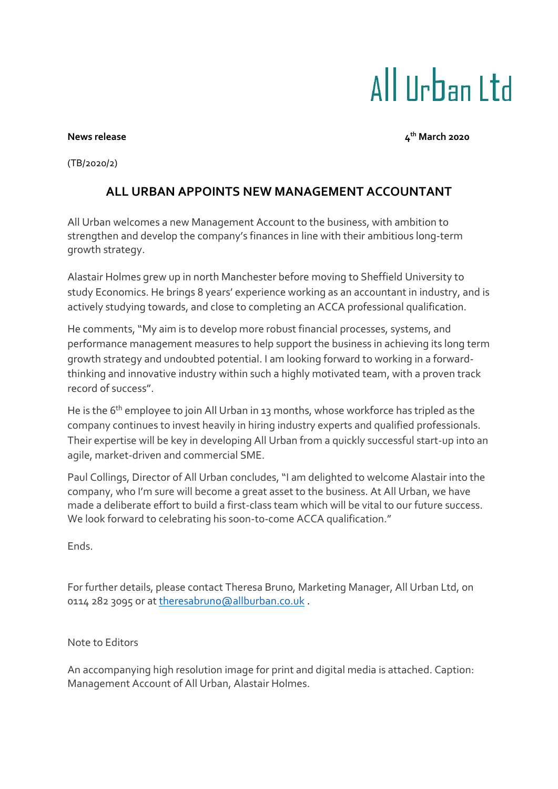## All Urban Ltd

## **News** release

**th March 2020**

(TB/2020/2)

## **ALL URBAN APPOINTS NEW MANAGEMENT ACCOUNTANT**

All Urban welcomes a new Management Account to the business, with ambition to strengthen and develop the company's finances in line with their ambitious long-term growth strategy.

Alastair Holmes grew up in north Manchester before moving to Sheffield University to study Economics. He brings 8 years' experience working as an accountant in industry, and is actively studying towards, and close to completing an ACCA professional qualification.

He comments, "My aim is to develop more robust financial processes, systems, and performance management measures to help support the business in achieving its long term growth strategy and undoubted potential. I am looking forward to working in a forwardthinking and innovative industry within such a highly motivated team, with a proven track record of success".

He is the 6<sup>th</sup> employee to join All Urban in 13 months, whose workforce has tripled as the company continues to invest heavily in hiring industry experts and qualified professionals. Their expertise will be key in developing All Urban from a quickly successful start-up into an agile, market-driven and commercial SME.

Paul Collings, Director of All Urban concludes, "I am delighted to welcome Alastair into the company, who I'm sure will become a great asset to the business. At All Urban, we have made a deliberate effort to build a first-class team which will be vital to our future success. We look forward to celebrating his soon-to-come ACCA qualification."

Ends.

For further details, please contact Theresa Bruno, Marketing Manager, All Urban Ltd, on 0114 282 3095 or a[t theresabruno@allburban.co.uk](mailto:theresabruno@allburban.co.uk) .

Note to Editors

An accompanying high resolution image for print and digital media is attached. Caption: Management Account of All Urban, Alastair Holmes.